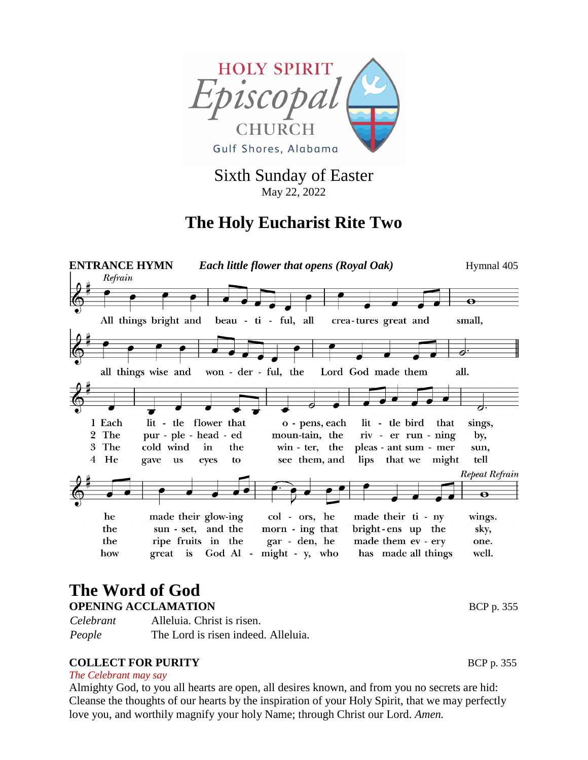

Sixth Sunday of Easter May 22, 2022

## **The Holy Eucharist Rite Two**



# **The Word of God**

**OPENING ACCLAMATION** BCP p. 355

*Celebrant* Alleluia. Christ is risen. *People* The Lord is risen indeed. Alleluia.

#### **COLLECT FOR PURITY** BCP p. 355

*The Celebrant may say* 

Almighty God, to you all hearts are open, all desires known, and from you no secrets are hid: Cleanse the thoughts of our hearts by the inspiration of your Holy Spirit, that we may perfectly love you, and worthily magnify your holy Name; through Christ our Lord. *Amen.*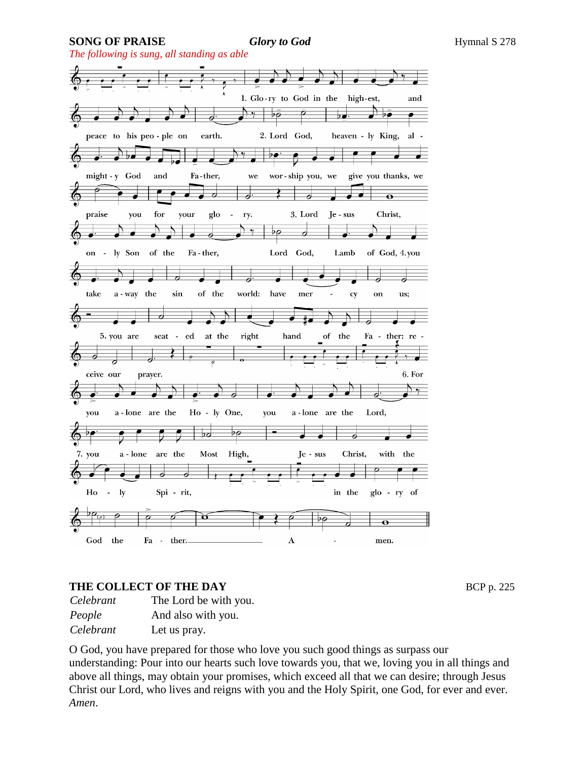**SONG OF PRAISE** *Glory to God* Hymnal S 278

*The following is sung, all standing as able*



#### **THE COLLECT OF THE DAY** BCP p. 225

*Celebrant* The Lord be with you. *People* And also with you. *Celebrant* Let us pray.

O God, you have prepared for those who love you such good things as surpass our understanding: Pour into our hearts such love towards you, that we, loving you in all things and above all things, may obtain your promises, which exceed all that we can desire; through Jesus Christ our Lord, who lives and reigns with you and the Holy Spirit, one God, for ever and ever. *Amen*.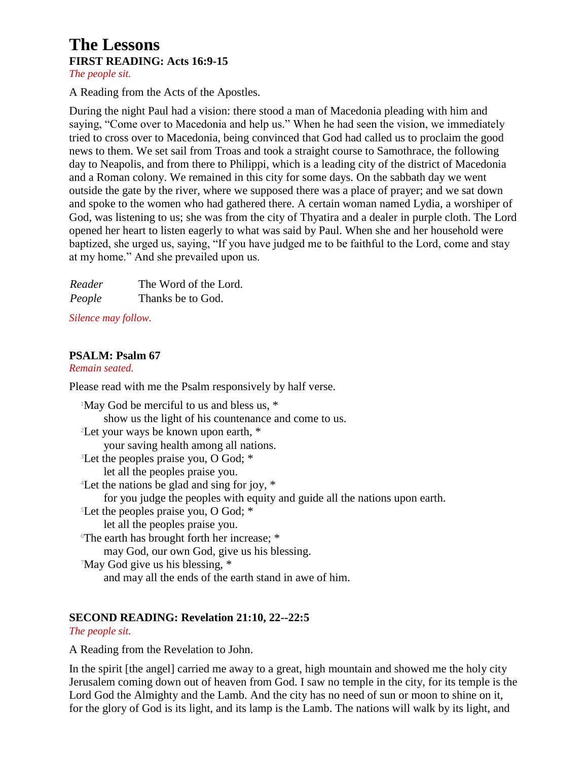#### **The Lessons FIRST READING: Acts 16:9-15** *The people sit.*

A Reading from the Acts of the Apostles.

During the night Paul had a vision: there stood a man of Macedonia pleading with him and saying, "Come over to Macedonia and help us." When he had seen the vision, we immediately tried to cross over to Macedonia, being convinced that God had called us to proclaim the good news to them. We set sail from Troas and took a straight course to Samothrace, the following day to Neapolis, and from there to Philippi, which is a leading city of the district of Macedonia and a Roman colony. We remained in this city for some days. On the sabbath day we went outside the gate by the river, where we supposed there was a place of prayer; and we sat down and spoke to the women who had gathered there. A certain woman named Lydia, a worshiper of God, was listening to us; she was from the city of Thyatira and a dealer in purple cloth. The Lord opened her heart to listen eagerly to what was said by Paul. When she and her household were baptized, she urged us, saying, "If you have judged me to be faithful to the Lord, come and stay at my home." And she prevailed upon us.

| Reader | The Word of the Lord. |
|--------|-----------------------|
| People | Thanks be to God.     |

*Silence may follow.*

#### **PSALM: Psalm 67**

*Remain seated.*

Please read with me the Psalm responsively by half verse.

<sup>1</sup>May God be merciful to us and bless us, \* show us the light of his countenance and come to us. <sup>2</sup>Let your ways be known upon earth, \* your saving health among all nations. <sup>3</sup>Let the peoples praise you, O God; \* let all the peoples praise you. <sup>4</sup>Let the nations be glad and sing for joy, \* for you judge the peoples with equity and guide all the nations upon earth. <sup>5</sup>Let the peoples praise you, O God; \* let all the peoples praise you. <sup>6</sup>The earth has brought forth her increase; \* may God, our own God, give us his blessing. <sup>7</sup>May God give us his blessing, \* and may all the ends of the earth stand in awe of him.

#### **SECOND READING: Revelation 21:10, 22--22:5**

*The people sit.*

A Reading from the Revelation to John.

In the spirit [the angel] carried me away to a great, high mountain and showed me the holy city Jerusalem coming down out of heaven from God. I saw no temple in the city, for its temple is the Lord God the Almighty and the Lamb. And the city has no need of sun or moon to shine on it, for the glory of God is its light, and its lamp is the Lamb. The nations will walk by its light, and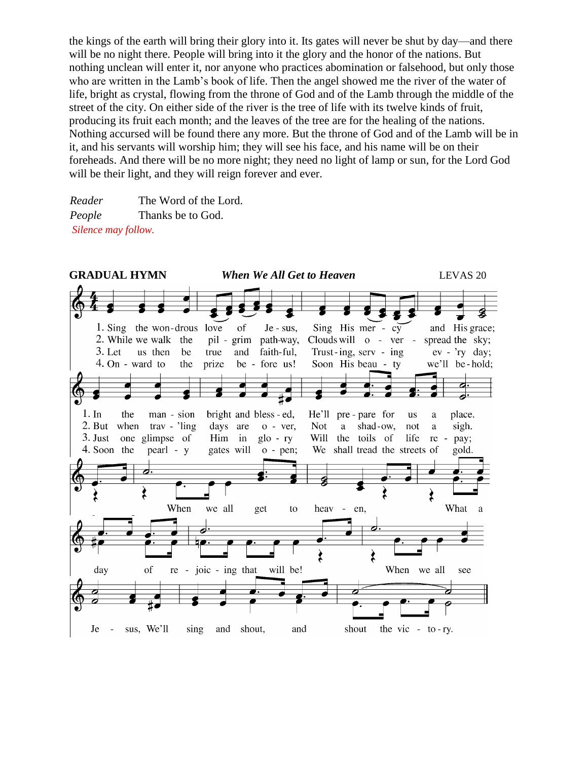the kings of the earth will bring their glory into it. Its gates will never be shut by day—and there will be no night there. People will bring into it the glory and the honor of the nations. But nothing unclean will enter it, nor anyone who practices abomination or falsehood, but only those who are written in the Lamb's book of life. Then the angel showed me the river of the water of life, bright as crystal, flowing from the throne of God and of the Lamb through the middle of the street of the city. On either side of the river is the tree of life with its twelve kinds of fruit, producing its fruit each month; and the leaves of the tree are for the healing of the nations. Nothing accursed will be found there any more. But the throne of God and of the Lamb will be in it, and his servants will worship him; they will see his face, and his name will be on their foreheads. And there will be no more night; they need no light of lamp or sun, for the Lord God will be their light, and they will reign forever and ever.

*Reader* The Word of the Lord. *People* Thanks be to God. *Silence may follow.*

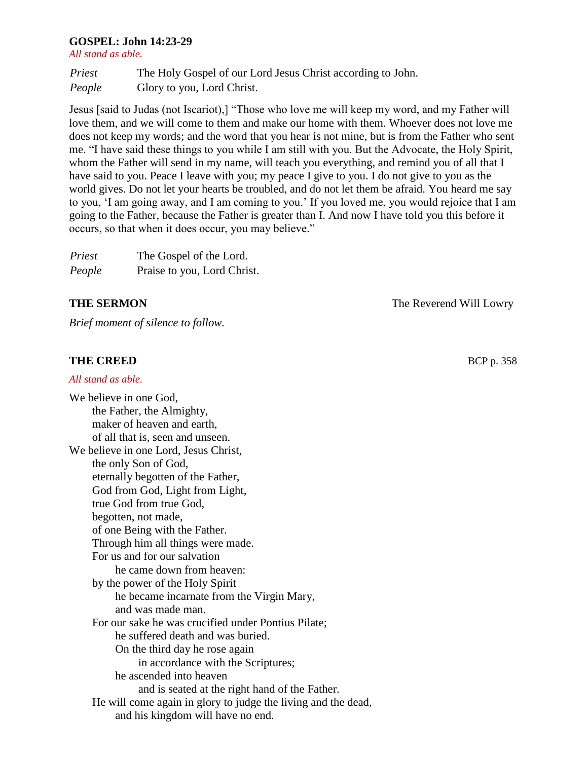#### **GOSPEL: John 14:23-29**

*All stand as able.*

*Priest* The Holy Gospel of our Lord Jesus Christ according to John. *People* Glory to you, Lord Christ.

Jesus [said to Judas (not Iscariot),] "Those who love me will keep my word, and my Father will love them, and we will come to them and make our home with them. Whoever does not love me does not keep my words; and the word that you hear is not mine, but is from the Father who sent me. "I have said these things to you while I am still with you. But the Advocate, the Holy Spirit, whom the Father will send in my name, will teach you everything, and remind you of all that I have said to you. Peace I leave with you; my peace I give to you. I do not give to you as the world gives. Do not let your hearts be troubled, and do not let them be afraid. You heard me say to you, 'I am going away, and I am coming to you.' If you loved me, you would rejoice that I am going to the Father, because the Father is greater than I. And now I have told you this before it occurs, so that when it does occur, you may believe."

| Priest | The Gospel of the Lord.     |
|--------|-----------------------------|
| People | Praise to you, Lord Christ. |

*Brief moment of silence to follow.* 

#### **THE CREED** BCP p. 358

#### *All stand as able.* We believe in one God, the Father, the Almighty, maker of heaven and earth, of all that is, seen and unseen. We believe in one Lord, Jesus Christ, the only Son of God, eternally begotten of the Father, God from God, Light from Light, true God from true God, begotten, not made, of one Being with the Father. Through him all things were made. For us and for our salvation he came down from heaven: by the power of the Holy Spirit he became incarnate from the Virgin Mary, and was made man. For our sake he was crucified under Pontius Pilate; he suffered death and was buried. On the third day he rose again in accordance with the Scriptures; he ascended into heaven and is seated at the right hand of the Father. He will come again in glory to judge the living and the dead, and his kingdom will have no end.

**THE SERMON** The Reverend Will Lowry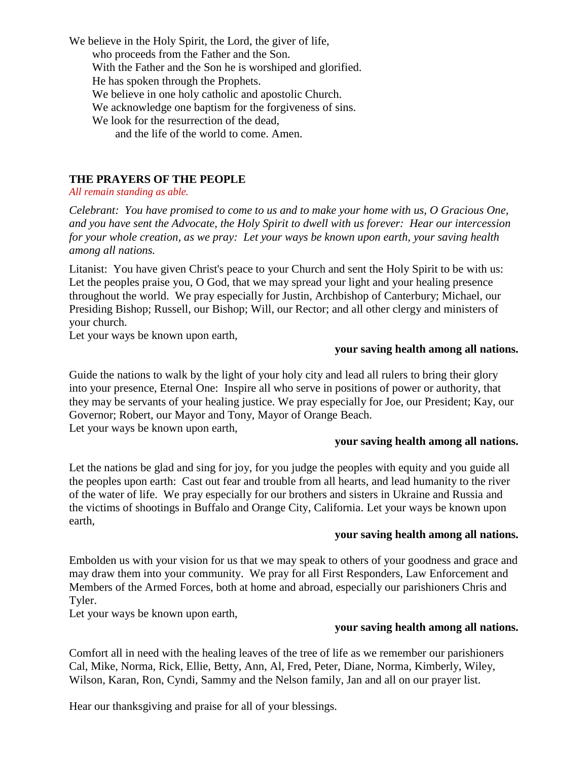We believe in the Holy Spirit, the Lord, the giver of life, who proceeds from the Father and the Son. With the Father and the Son he is worshiped and glorified. He has spoken through the Prophets. We believe in one holy catholic and apostolic Church. We acknowledge one baptism for the forgiveness of sins. We look for the resurrection of the dead, and the life of the world to come. Amen.

#### **THE PRAYERS OF THE PEOPLE**

*All remain standing as able.*

*Celebrant: You have promised to come to us and to make your home with us, O Gracious One, and you have sent the Advocate, the Holy Spirit to dwell with us forever: Hear our intercession for your whole creation, as we pray: Let your ways be known upon earth, your saving health among all nations.*

Litanist: You have given Christ's peace to your Church and sent the Holy Spirit to be with us: Let the peoples praise you, O God, that we may spread your light and your healing presence throughout the world. We pray especially for Justin, Archbishop of Canterbury; Michael, our Presiding Bishop; Russell, our Bishop; Will, our Rector; and all other clergy and ministers of your church.

Let your ways be known upon earth,

#### **your saving health among all nations.**

Guide the nations to walk by the light of your holy city and lead all rulers to bring their glory into your presence, Eternal One: Inspire all who serve in positions of power or authority, that they may be servants of your healing justice. We pray especially for Joe, our President; Kay, our Governor; Robert, our Mayor and Tony, Mayor of Orange Beach. Let your ways be known upon earth,

#### **your saving health among all nations.**

Let the nations be glad and sing for joy, for you judge the peoples with equity and you guide all the peoples upon earth: Cast out fear and trouble from all hearts, and lead humanity to the river of the water of life. We pray especially for our brothers and sisters in Ukraine and Russia and the victims of shootings in Buffalo and Orange City, California. Let your ways be known upon earth,

#### **your saving health among all nations.**

Embolden us with your vision for us that we may speak to others of your goodness and grace and may draw them into your community. We pray for all First Responders, Law Enforcement and Members of the Armed Forces, both at home and abroad, especially our parishioners Chris and Tyler.

Let your ways be known upon earth,

#### **your saving health among all nations.**

Comfort all in need with the healing leaves of the tree of life as we remember our parishioners Cal, Mike, Norma, Rick, Ellie, Betty, Ann, Al, Fred, Peter, Diane, Norma, Kimberly, Wiley, Wilson, Karan, Ron, Cyndi, Sammy and the Nelson family, Jan and all on our prayer list.

Hear our thanksgiving and praise for all of your blessings.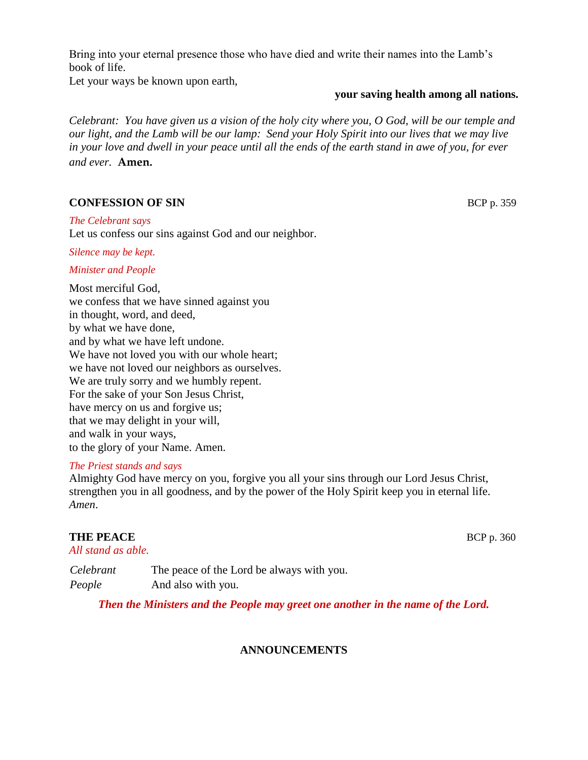Bring into your eternal presence those who have died and write their names into the Lamb's book of life.

Let your ways be known upon earth,

#### **your saving health among all nations.**

*Celebrant: You have given us a vision of the holy city where you, O God, will be our temple and our light, and the Lamb will be our lamp: Send your Holy Spirit into our lives that we may live in your love and dwell in your peace until all the ends of the earth stand in awe of you, for ever and ever.* **Amen.** 

#### **CONFESSION OF SIN** BCP p. 359

*The Celebrant says*  Let us confess our sins against God and our neighbor.

*Silence may be kept.*

#### *Minister and People*

Most merciful God, we confess that we have sinned against you in thought, word, and deed, by what we have done, and by what we have left undone. We have not loved you with our whole heart: we have not loved our neighbors as ourselves. We are truly sorry and we humbly repent. For the sake of your Son Jesus Christ, have mercy on us and forgive us; that we may delight in your will, and walk in your ways, to the glory of your Name. Amen.

#### *The Priest stands and says*

Almighty God have mercy on you, forgive you all your sins through our Lord Jesus Christ, strengthen you in all goodness, and by the power of the Holy Spirit keep you in eternal life. *Amen*.

#### **THE PEACE** BCP p. 360

*All stand as able.*

*Celebrant* The peace of the Lord be always with you. *People* And also with you.

*Then the Ministers and the People may greet one another in the name of the Lord.*

#### **ANNOUNCEMENTS**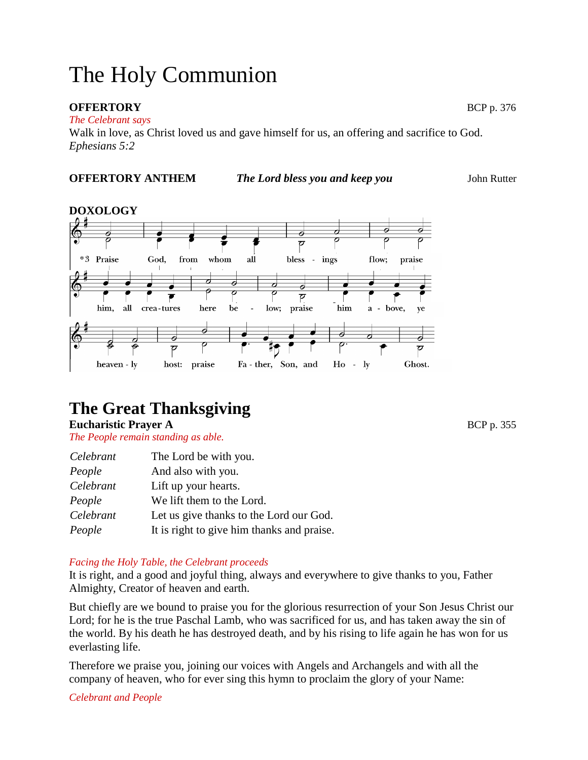# The Holy Communion

#### **OFFERTORY** BCP p. 376

*The Celebrant says* 

Walk in love, as Christ loved us and gave himself for us, an offering and sacrifice to God. *Ephesians 5:2*

#### **OFFERTORY ANTHEM** *The Lord bless you and keep you*John Rutter



# **The Great Thanksgiving**

**Eucharistic Prayer A BCP p. 355** 

*The People remain standing as able.*

| Celebrant | The Lord be with you.                      |
|-----------|--------------------------------------------|
| People    | And also with you.                         |
| Celebrant | Lift up your hearts.                       |
| People    | We lift them to the Lord.                  |
| Celebrant | Let us give thanks to the Lord our God.    |
| People    | It is right to give him thanks and praise. |

#### *Facing the Holy Table, the Celebrant proceeds*

It is right, and a good and joyful thing, always and everywhere to give thanks to you, Father Almighty, Creator of heaven and earth.

But chiefly are we bound to praise you for the glorious resurrection of your Son Jesus Christ our Lord; for he is the true Paschal Lamb, who was sacrificed for us, and has taken away the sin of the world. By his death he has destroyed death, and by his rising to life again he has won for us everlasting life.

Therefore we praise you, joining our voices with Angels and Archangels and with all the company of heaven, who for ever sing this hymn to proclaim the glory of your Name:

*Celebrant and People*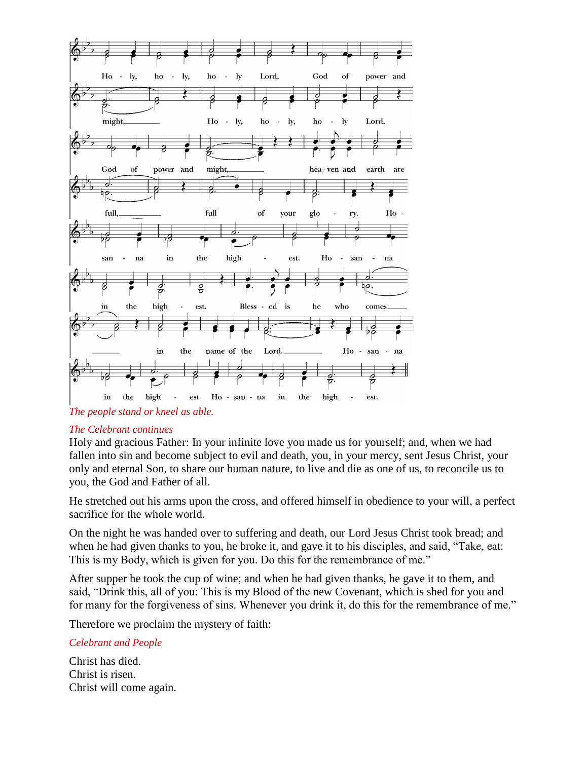

#### *The Celebrant continues*

Holy and gracious Father: In your infinite love you made us for yourself; and, when we had fallen into sin and become subject to evil and death, you, in your mercy, sent Jesus Christ, your only and eternal Son, to share our human nature, to live and die as one of us, to reconcile us to you, the God and Father of all.

He stretched out his arms upon the cross, and offered himself in obedience to your will, a perfect sacrifice for the whole world.

On the night he was handed over to suffering and death, our Lord Jesus Christ took bread; and when he had given thanks to you, he broke it, and gave it to his disciples, and said, "Take, eat: This is my Body, which is given for you. Do this for the remembrance of me."

After supper he took the cup of wine; and when he had given thanks, he gave it to them, and said, "Drink this, all of you: This is my Blood of the new Covenant, which is shed for you and for many for the forgiveness of sins. Whenever you drink it, do this for the remembrance of me."

Therefore we proclaim the mystery of faith:

#### *Celebrant and People*

Christ has died. Christ is risen. Christ will come again.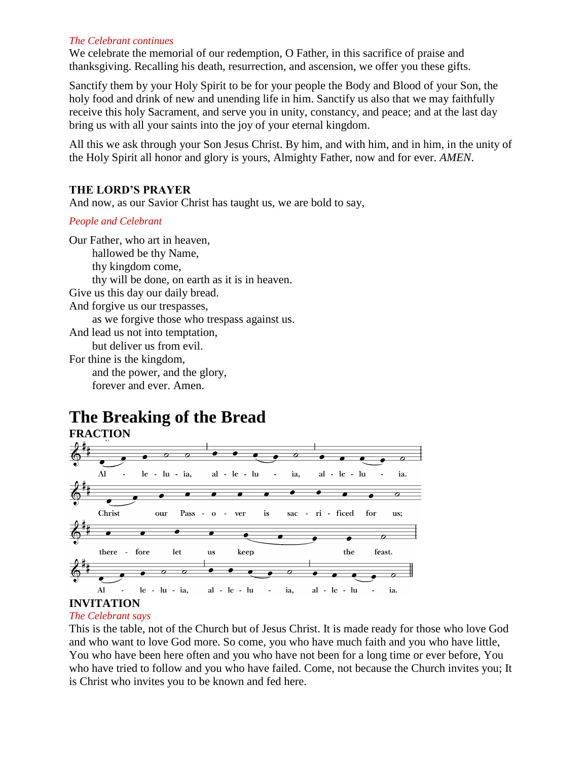#### *The Celebrant continues*

We celebrate the memorial of our redemption, O Father, in this sacrifice of praise and thanksgiving. Recalling his death, resurrection, and ascension, we offer you these gifts.

Sanctify them by your Holy Spirit to be for your people the Body and Blood of your Son, the holy food and drink of new and unending life in him. Sanctify us also that we may faithfully receive this holy Sacrament, and serve you in unity, constancy, and peace; and at the last day bring us with all your saints into the joy of your eternal kingdom.

All this we ask through your Son Jesus Christ. By him, and with him, and in him, in the unity of the Holy Spirit all honor and glory is yours, Almighty Father, now and for ever. *AMEN*.

#### **THE LORD'S PRAYER**

And now, as our Savior Christ has taught us, we are bold to say,

#### *People and Celebrant*

Our Father, who art in heaven, hallowed be thy Name, thy kingdom come, thy will be done, on earth as it is in heaven. Give us this day our daily bread. And forgive us our trespasses, as we forgive those who trespass against us. And lead us not into temptation, but deliver us from evil. For thine is the kingdom, and the power, and the glory, forever and ever. Amen.

### **The Breaking of the Bread FRACTION**



### **INVITATION**

#### *The Celebrant says*

This is the table, not of the Church but of Jesus Christ. It is made ready for those who love God and who want to love God more. So come, you who have much faith and you who have little, You who have been here often and you who have not been for a long time or ever before, You who have tried to follow and you who have failed. Come, not because the Church invites you; It is Christ who invites you to be known and fed here.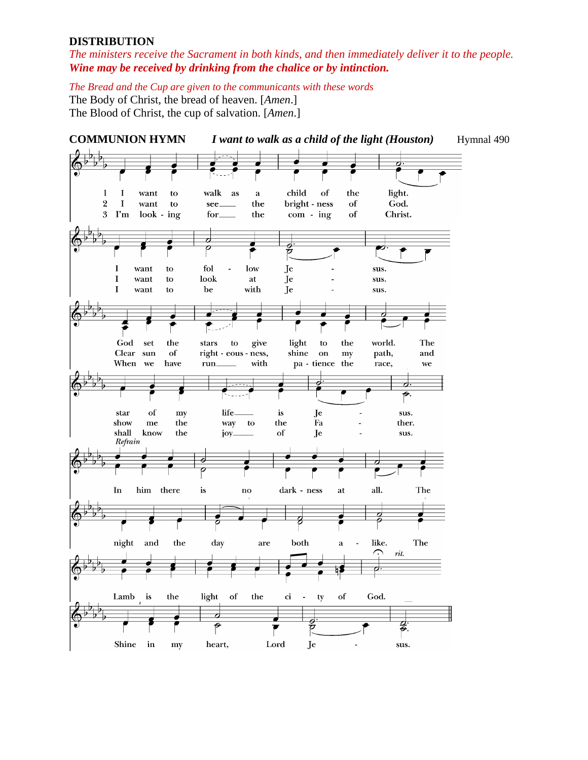#### **DISTRIBUTION**

*The ministers receive the Sacrament in both kinds, and then immediately deliver it to the people. Wine may be received by drinking from the chalice or by intinction.*

*The Bread and the Cup are given to the communicants with these words*

The Body of Christ, the bread of heaven. [*Amen*.] The Blood of Christ, the cup of salvation. [*Amen*.]

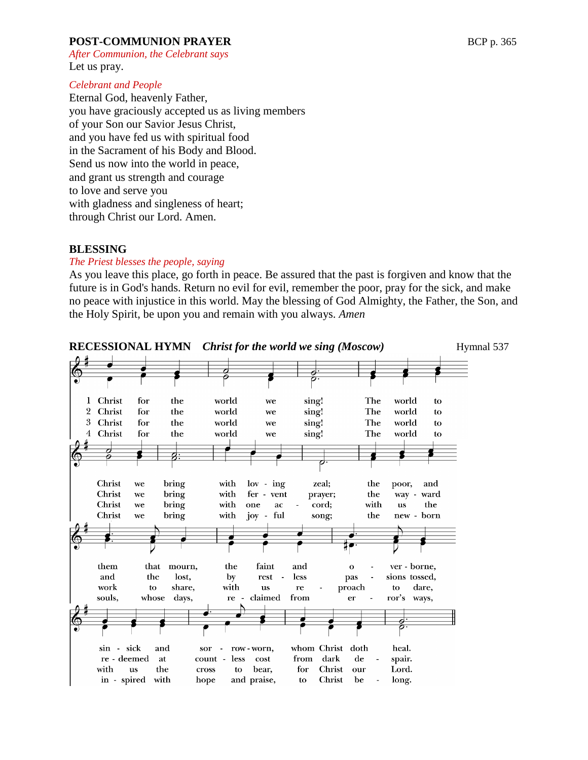#### **POST-COMMUNION PRAYER** BCP p. 365

*After Communion, the Celebrant says*  Let us pray.

#### *Celebrant and People*

Eternal God, heavenly Father, you have graciously accepted us as living members of your Son our Savior Jesus Christ, and you have fed us with spiritual food in the Sacrament of his Body and Blood. Send us now into the world in peace, and grant us strength and courage to love and serve you with gladness and singleness of heart; through Christ our Lord. Amen.

#### **BLESSING**

#### *The Priest blesses the people, saying*

As you leave this place, go forth in peace. Be assured that the past is forgiven and know that the future is in God's hands. Return no evil for evil, remember the poor, pray for the sick, and make no peace with injustice in this world. May the blessing of God Almighty, the Father, the Son, and the Holy Spirit, be upon you and remain with you always. *Amen*

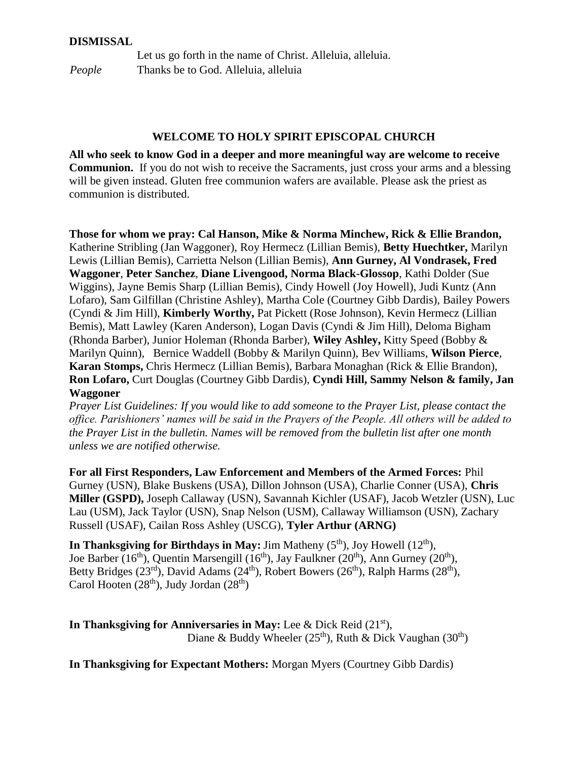#### **DISMISSAL**

Let us go forth in the name of Christ. Alleluia, alleluia. *People* Thanks be to God. Alleluia, alleluia

#### **WELCOME TO HOLY SPIRIT EPISCOPAL CHURCH**

**All who seek to know God in a deeper and more meaningful way are welcome to receive Communion.** If you do not wish to receive the Sacraments, just cross your arms and a blessing will be given instead. Gluten free communion wafers are available. Please ask the priest as communion is distributed.

**Those for whom we pray: Cal Hanson, Mike & Norma Minchew, Rick & Ellie Brandon,** Katherine Stribling (Jan Waggoner), Roy Hermecz (Lillian Bemis), **Betty Huechtker,** Marilyn Lewis (Lillian Bemis), Carrietta Nelson (Lillian Bemis), **Ann Gurney, Al Vondrasek, Fred Waggoner**, **Peter Sanchez**, **Diane Livengood, Norma Black-Glossop**, Kathi Dolder (Sue Wiggins), Jayne Bemis Sharp (Lillian Bemis), Cindy Howell (Joy Howell), Judi Kuntz (Ann Lofaro), Sam Gilfillan (Christine Ashley), Martha Cole (Courtney Gibb Dardis), Bailey Powers (Cyndi & Jim Hill), **Kimberly Worthy,** Pat Pickett (Rose Johnson), Kevin Hermecz (Lillian Bemis), Matt Lawley (Karen Anderson), Logan Davis (Cyndi & Jim Hill), Deloma Bigham (Rhonda Barber), Junior Holeman (Rhonda Barber), **Wiley Ashley,** Kitty Speed (Bobby & Marilyn Quinn), Bernice Waddell (Bobby & Marilyn Quinn), Bev Williams, **Wilson Pierce**, **Karan Stomps,** Chris Hermecz (Lillian Bemis), Barbara Monaghan (Rick & Ellie Brandon), **Ron Lofaro,** Curt Douglas (Courtney Gibb Dardis), **Cyndi Hill, Sammy Nelson & family, Jan Waggoner**

*Prayer List Guidelines: If you would like to add someone to the Prayer List, please contact the office. Parishioners' names will be said in the Prayers of the People. All others will be added to the Prayer List in the bulletin. Names will be removed from the bulletin list after one month unless we are notified otherwise.*

**For all First Responders, Law Enforcement and Members of the Armed Forces:** Phil Gurney (USN), Blake Buskens (USA), Dillon Johnson (USA), Charlie Conner (USA), **Chris Miller (GSPD),** Joseph Callaway (USN), Savannah Kichler (USAF), Jacob Wetzler (USN), Luc Lau (USM), Jack Taylor (USN), Snap Nelson (USM), Callaway Williamson (USN), Zachary Russell (USAF), Cailan Ross Ashley (USCG), **Tyler Arthur (ARNG)**

**In Thanksgiving for Birthdays in May:** Jim Matheny  $(5<sup>th</sup>)$ , Joy Howell  $(12<sup>th</sup>)$ , Joe Barber (16<sup>th</sup>), Quentin Marsengill (16<sup>th</sup>), Jay Faulkner (20<sup>th</sup>), Ann Gurney (20<sup>th</sup>), Betty Bridges (23<sup>rd</sup>), David Adams (24<sup>th</sup>), Robert Bowers (26<sup>th</sup>), Ralph Harms (28<sup>th</sup>), Carol Hooten  $(28<sup>th</sup>)$ , Judy Jordan  $(28<sup>th</sup>)$ 

In Thanksgiving for Anniversaries in May: Lee & Dick Reid (21<sup>st</sup>), Diane & Buddy Wheeler ( $25<sup>th</sup>$ ), Ruth & Dick Vaughan ( $30<sup>th</sup>$ )

**In Thanksgiving for Expectant Mothers:** Morgan Myers (Courtney Gibb Dardis)